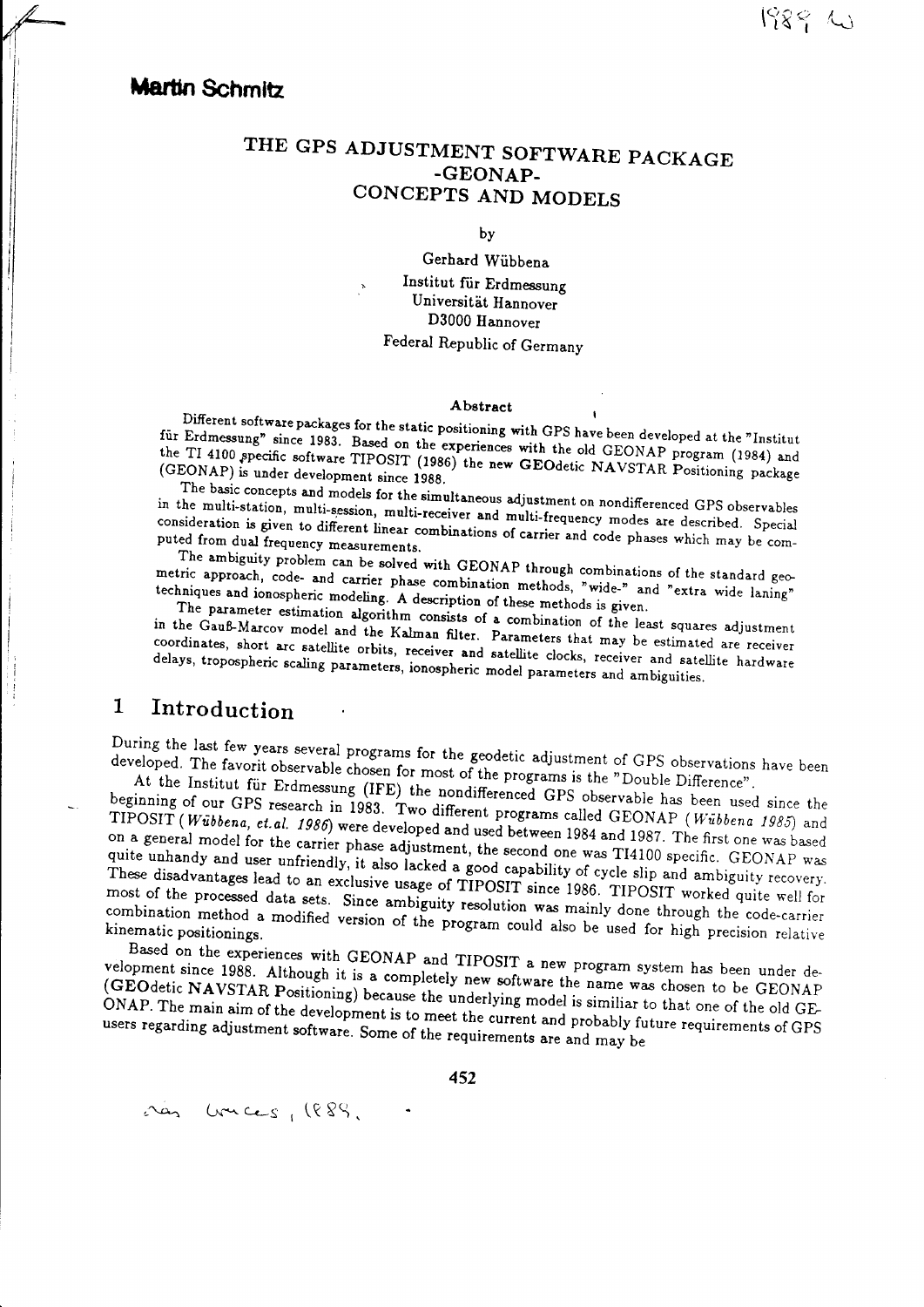## **Martin Schmitz**

## THE GPS ADJUSTMENT SOFTWARE PACKAGE -GEONAP-CONCEPTS AND MODELS

by

Gerhard Wübbena Institut für Erdmessung Universität Hannover D3000 Hannover

## Federal Republic of Germany

### Abstract

Different software packages for the static positioning with GPS have been developed at the "Institut für Erdmessung" since 1983. Based on the experiences with the old GEONAP program (1984) and the TI 4100 specific software TIPOSIT (1986) the new GEOdetic NAVSTAR Positioning package (GEONAP) is under development since 1988.

The basic concepts and models for the simultaneous adjustment on nondifferenced GPS observables in the multi-station, multi-session, multi-receiver and multi-frequency modes are described. Special consideration is given to different linear combinations of carrier and code phases which may be computed from dual frequency measurements.

The ambiguity problem can be solved with GEONAP through combinations of the standard geometric approach, code- and carrier phase combination methods, "wide-" and "extra wide laning" techniques and ionospheric modeling. A description of these methods is given.

The parameter estimation algorithm consists of a combination of the least squares adjustment in the Gauß-Marcov model and the Kalman filter. Parameters that may be estimated are receiver coordinates, short arc satellite orbits, receiver and satellite clocks, receiver and satellite hardware delays, tropospheric scaling parameters, ionospheric model parameters and ambiguities.

#### $\mathbf{1}$ Introduction

nas Gruces, 1888.

During the last few years several programs for the geodetic adjustment of GPS observations have been developed. The favorit observable chosen for most of the programs is the "Double Difference".

At the Institut für Erdmessung (IFE) the nondifferenced GPS observable has been used since the beginning of our GPS research in 1983. Two different programs called GEONAP (Wübbena 1985) and TIPOSIT (Wübbena, et.al. 1986) were developed and used between 1984 and 1987. The first one was based on a general model for the carrier phase adjustment, the second one was TI4100 specific. GEONAP was quite unhandy and user unfriendly, it also lacked a good capability of cycle slip and ambiguity recovery. These disadvantages lead to an exclusive usage of TIPOSIT since 1986. TIPOSIT worked quite well for most of the processed data sets. Since ambiguity resolution was mainly done through the code-carrier combination method a modified version of the program could also be used for high precision relative

Based on the experiences with GEONAP and TIPOSIT a new program system has been under development since 1988. Although it is a completely new software the name was chosen to be GEONAP (GEOdetic NAVSTAR Positioning) because the underlying model is similiar to that one of the old GE-ONAP. The main aim of the development is to meet the current and probably future requirements of GPS users regarding adjustment software. Some of the requirements are and may be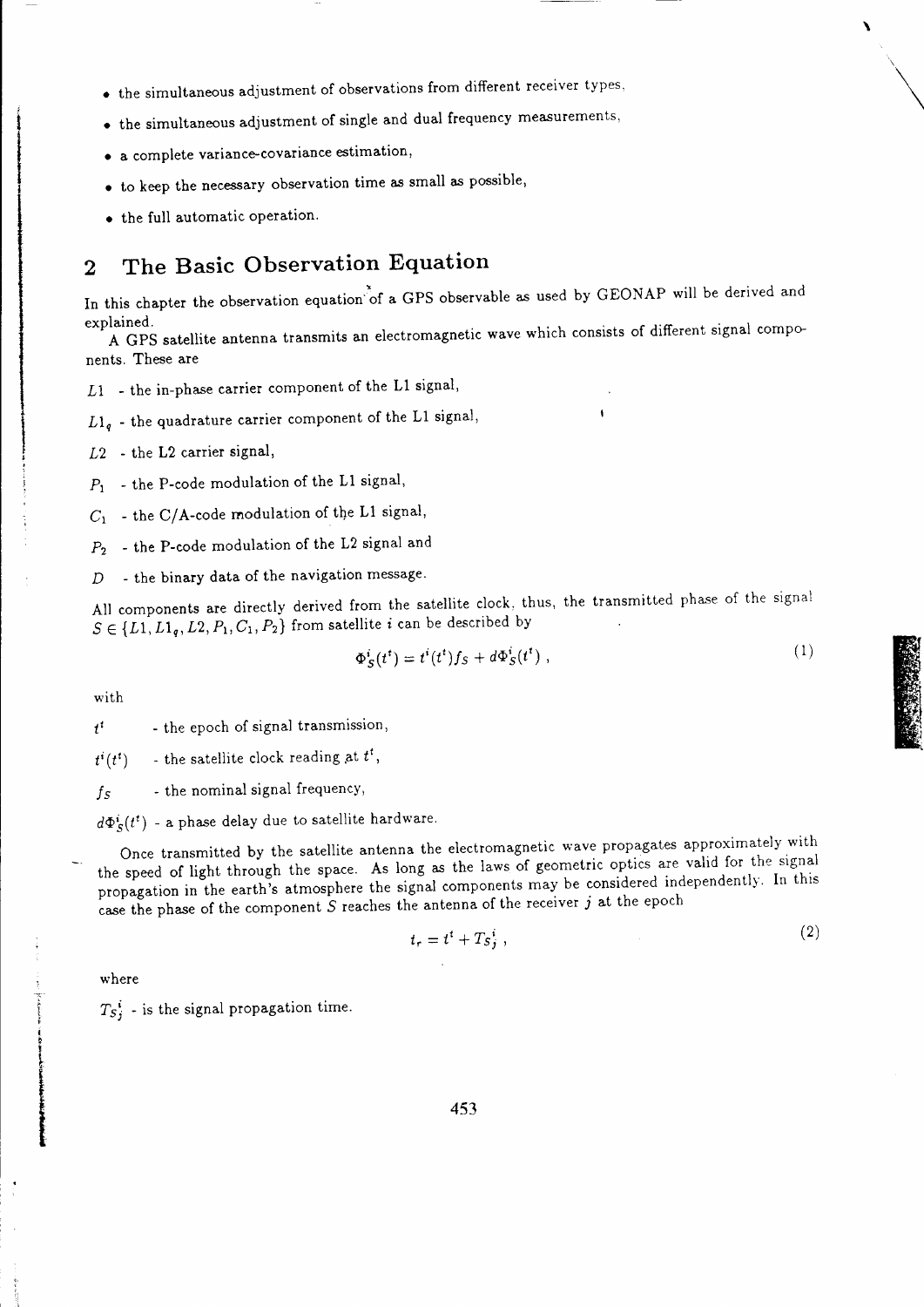- the simultaneous adjustment of observations from different receiver types,
- $\bullet\,$  the simultaneous adjustment of single and dual frequency measurements,
- o a complete variance'covariance estimation,
- $\bullet\,$  to keep the necessary observation time as small as possible,
- $\bullet$  the full automatic operation.

# 2 The Basic Observation Equation

In this chapter the observation equation of a GPS observable as used by GEONAP will be derived and explained.

A GPS satellite antenna transmits an electromagnetic wave which consists of different signal components. These are

 $L1$  - the in-phase carrier component of the L1 signal,

 $L1_q$  - the quadrature carrier component of the L1 signal,

L2 - the L2 carrier signal,

- $P_1$  the P-code modulation of the L1 signal,
- $C_1$  the C/A-code modulation of the L1 signal,
- $P_2$  the P-code modulation of the L2 signal and
- $D$  the binary data of the navigation message.

All components are directly derived from the satellite clock, thus, the transmitted phase of the signal  $S \in \{L1, L1_q, L2, P_1, C_1, P_2\}$  from satellite *i* can be described by

$$
\Phi_S^i(t^t) = t^i(t^t) f_S + d\Phi_S^i(t^t) , \qquad (1)
$$

with

 $t^t$  - the epoch of signal transmission,

 $t^{i}(t^{t})$  - the satellite clock reading at  $t^{t}$ ,

 $f_S$  - the nominal signal frequency,

 $d\Phi_S^i(t^t)$  - a phase delay due to satellite hardware.

Once transmitted by the satellite antenna the electromagnetic wave propagates approximately with the speed of light through the space. As long as the laws of geometric optics are valid for the signal propagation in the earth's atmosphere the signal components may be considered independently. In this case the phase of the component  $S$  reaches the antenna of the receiver  $j$  at the epoch

$$
t_r = t^t + T_S{}^i_j \t\t(2)
$$

where

t a I I I f. t t

 $T_{S_i}$  - is the signal propagation time.

453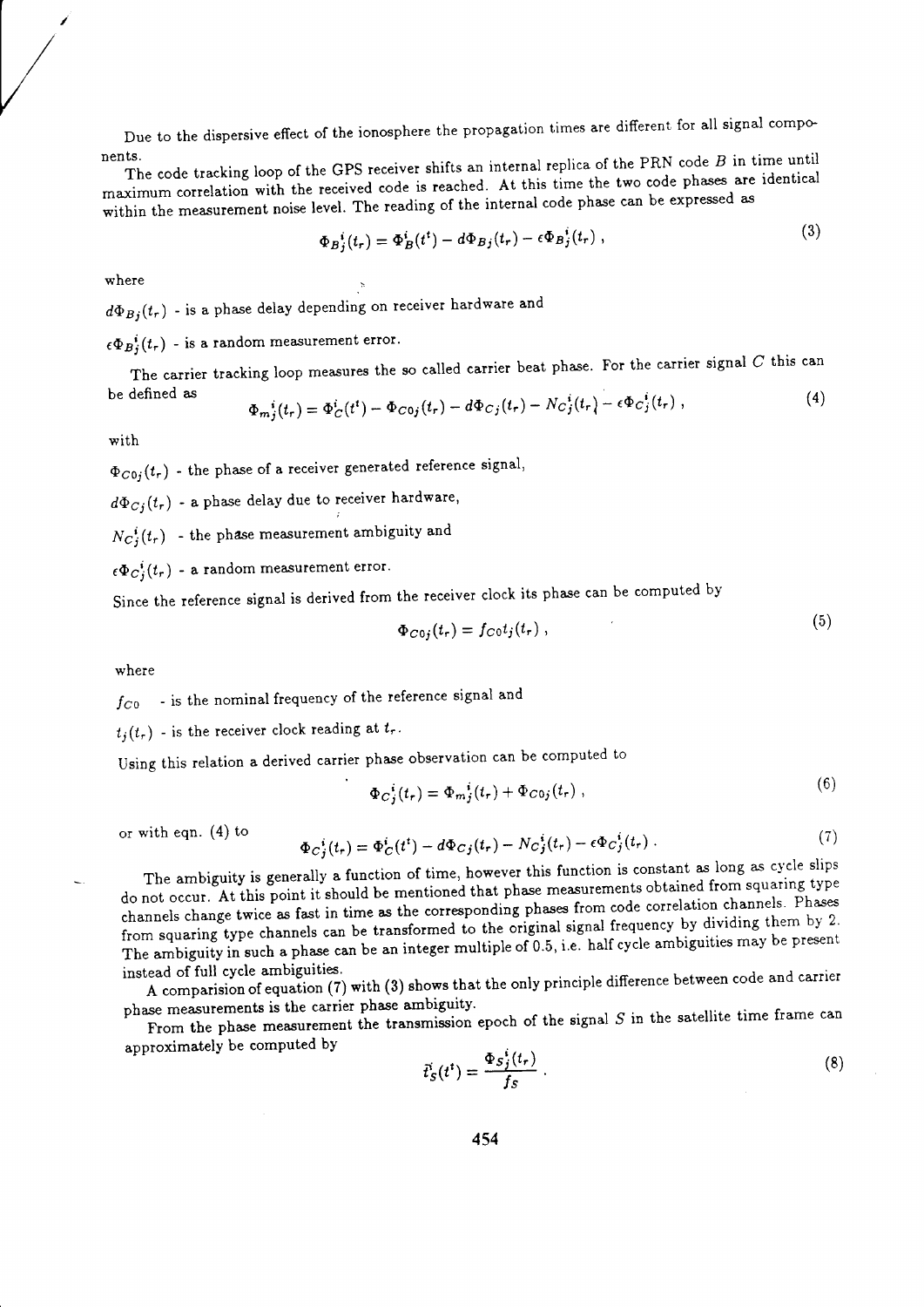Due to the dispersive effect of the ionosphere the propagation times are different for all signal components.

The code tracking loop of the GPS receiver shifts an internal replica of the PRN code  $B$  in time until maximum correlation with the received code is reached. At this time the two code phases are identical within the measurement noise level. The reading of the internal code phase can be expressed as

$$
\Phi_B{}^i_j(t_r) = \Phi_B^i(t^t) - d\Phi_{Bj}(t_r) - \epsilon \Phi_B{}^i_j(t_r) \,, \tag{3}
$$

where

 $\bigg\}$ 

 $d\Phi_{Bj}(t_r)$  - is a phase delay depending on receiver hardware and

 $\epsilon \Phi_B{}^i(t)$  - is a random measurement error.

The carrier tracking loop measures the so called carrier beat phase. For the carrier signal  $C$  this can  $\alpha$ be defined as

$$
\Phi_{m\,j}^{i}(t_{r}) = \Phi_{C}^{i}(t^{t}) - \Phi_{C0j}(t_{r}) - d\Phi_{Cj}(t_{r}) - N_{C}^{i}(t_{r}) - \epsilon \Phi_{C}^{i}(t_{r}) , \qquad (4)
$$

with

 $\Phi_{C0j}(t_r)$  - the phase of a receiver generated reference signal,

 $d\Phi_{Cj}(t_r)$  - a phase delay due to receiver hardware,

 $N_c^i(t_r)$  - the phase measurement ambiguity and

 $\epsilon \Phi_C^i(t_r)$  - a random measurement error.

Since the reference signal is derived from the receiver clock its phase can be computed by

$$
\Phi_{C0j}(t_r) = f_{C0}t_j(t_r) , \qquad (5)
$$

 $(E)$ 

 $(6)$ 

where

 $f_{C0}$  - is the nominal frequency of the reference signal and

 $t_j(t_r)$  - is the receiver clock reading at  $t_r$ .

Using this relation a derived carrier phase observation can be computed to

$$
\Phi_{C}{}^{i}(t_{r}) = \Phi_{m}{}^{i}(t_{r}) + \Phi_{C0j}(t_{r}) , \qquad (6)
$$

or with eqn.  $(4)$  to

$$
\Phi_C{}^i_j(t_r) = \Phi^i_C(t^t) - d\Phi_{Cj}(t_r) - N_C{}^i_j(t_r) - \epsilon \Phi_C{}^i_j(t_r) \tag{7}
$$

The ambiguity is generally a function of time, however this function is constant as long as cycle slips do not occur. At this point it should be mentioned that phase measurements obtained from squaring type channels change twice as fast in time as the corresponding phases from code correlation channels. Phases from squaring type channels can be transformed to the original signal frequency by dividing them by 2. from squaring type channels can be enablemed by the control of 0.5, i.e. half cycle ambiguities may be present<br>The ambiguity in such a phase can be an integer multiple of 0.5, i.e. half cycle ambiguities may be present instead of full cycle ambiguities.

A comparision of equation (7) with (3) ehows that the only principle difierence between code and carrier phase measurements is the carrier phase ambiguity.

approximately be computed by From the phase measurement the transmission epoch of the signal  $S$  in the satellite time frame can

$$
\tilde{t}_S'(t^*) = \frac{\Phi_{S_j}^i(t_r)}{f_S} \,. \tag{8}
$$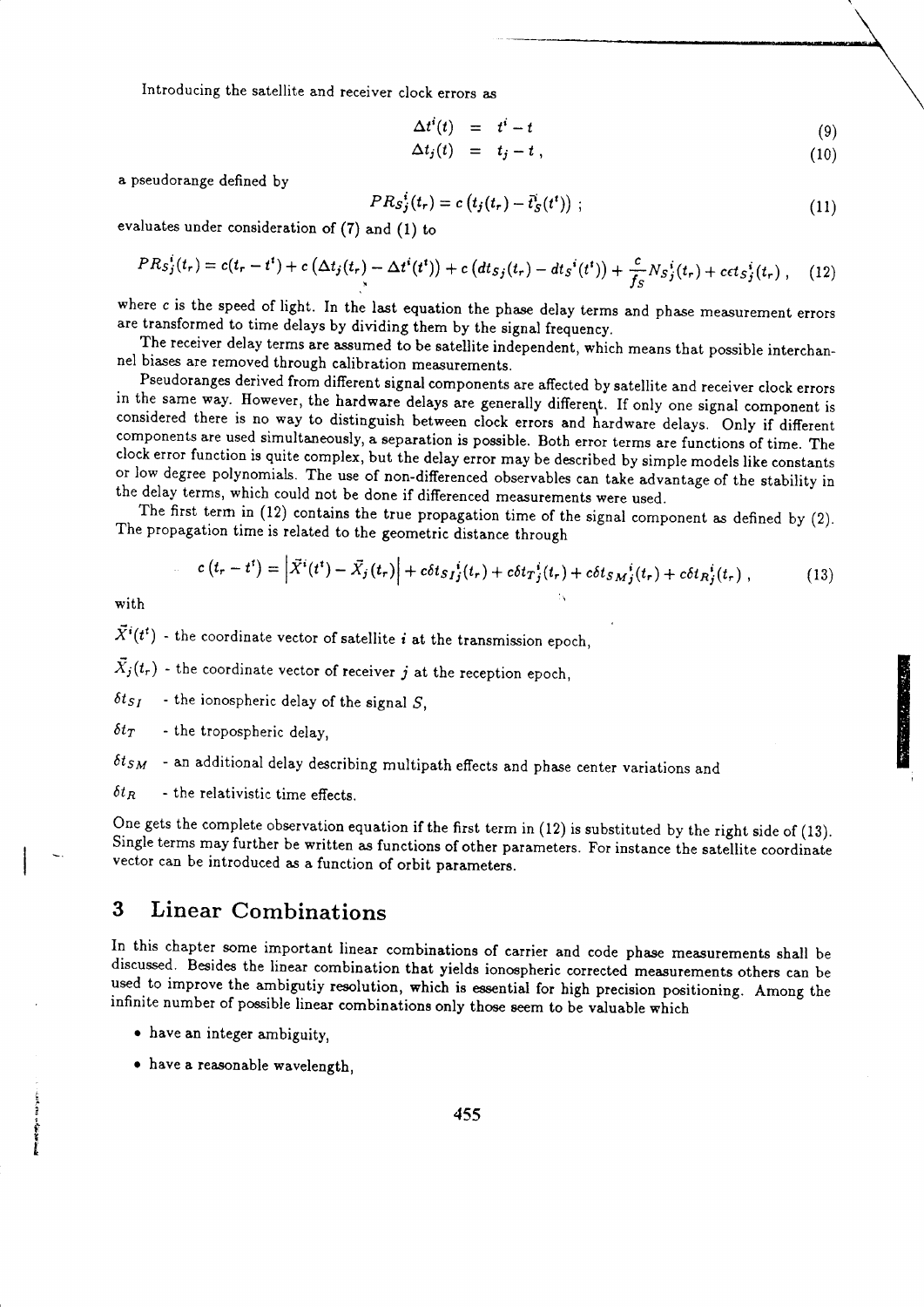Introducing the satellite and receiver clock errors as

$$
\Delta t^i(t) = t^i - t \tag{9}
$$

$$
\Delta t_j(t) = t_j - t, \qquad (10)
$$

a pseudorange defined by

$$
PR_{S_{j}}^{i}(t_{r}) = c(t_{j}(t_{r}) - \bar{t}_{S}^{i}(t^{t})) ; \qquad (11)
$$

evaluates under consideration of (7) and (1) to

$$
PR_{S_j}^{i}(t_r) = c(t_r - t^{t}) + c\left(\Delta t_j(t_r) - \Delta t^{i}(t^{t})\right) + c\left(dt_{S_j}(t_r) - dt_{S_j}^{i}(t^{t})\right) + \frac{c}{f_S}Ns_j^{i}(t_r) + c\epsilon t_{S_j}^{i}(t_r), \quad (12)
$$

where c is the speed of light. In the last equation the phase delay terms and phase measurement errors are transformed to time delays by dividing them by the signal frequency.

The receiver delay terms are assumed to be satellite independent, which means that possible interchannel biases are removed through calibration measurements.

Pseudoranges derived from different signal components are affected by satellite and receiver clock errors in the same way. However, the hardware delays are generally different. If only one signal component is considered there is no way to distinguish between clock errors and hardware delays. Only if different components are used simultaneously, a separation is possible. Both error terms are functions of time. The clock error function is quite complex, but the delay error may be described by simple models like constants or low degree polynomials. The use of non-differenced observables can take advantage of the stability in the delay terms, which could not be done if differenced measurements were used.

The propagation time is related to the geometric distance through<br>The propagation time is related to the geometric distance through The first term in  $(12)$  contains the true propagation time of the signal component as defined by  $(2)$ .

$$
c(t_r-t') = \left| \vec{X}^i(t') - \vec{X}_j(t_r) \right| + c\delta t_{S} t^i_j(t_r) + c\delta t_{T} t^i_j(t_r) + c\delta t_{S} t^i_j(t_r) + c\delta t_{R} t^i_j(t_r) , \qquad (13)
$$

with

 $\vec{X}^i(t^t)$  - the coordinate vector of satellite *i* at the transmission epoch,

 $\vec{X}_i(t_r)$  - the coordinate vector of receiver j at the reception epoch,

 $\delta t_{SI}$  - the ionospheric delay of the signal S,

 $\delta t$ <sub>T</sub> - the tropospheric delay,

 $\delta t_{SM}$  - an additional delay describing multipath effects and phase center variations and

 $\delta t_R$  - the relativistic time effects.

One gets the complete observation equation if the first term in (12) is substituted by the right side of (18). Single terms may further be written as functions of other parameters. For instance the satellite coordinate vector can be introduced as a function of orbit parameters.

## 3 Linear Combinations

In this chapter some important linear combinations of carrier and code phase measurements shall be discussed. Besides the linear combination that yields ionospheric corrected measurements others can be used to improve the ambigutiy resolution, which is essentisl for high precision positioning. Among the infinite number of possible linear combinations only those eeem to be valuable which

o have an integer ambiguity,

o have a reasonable wavelength,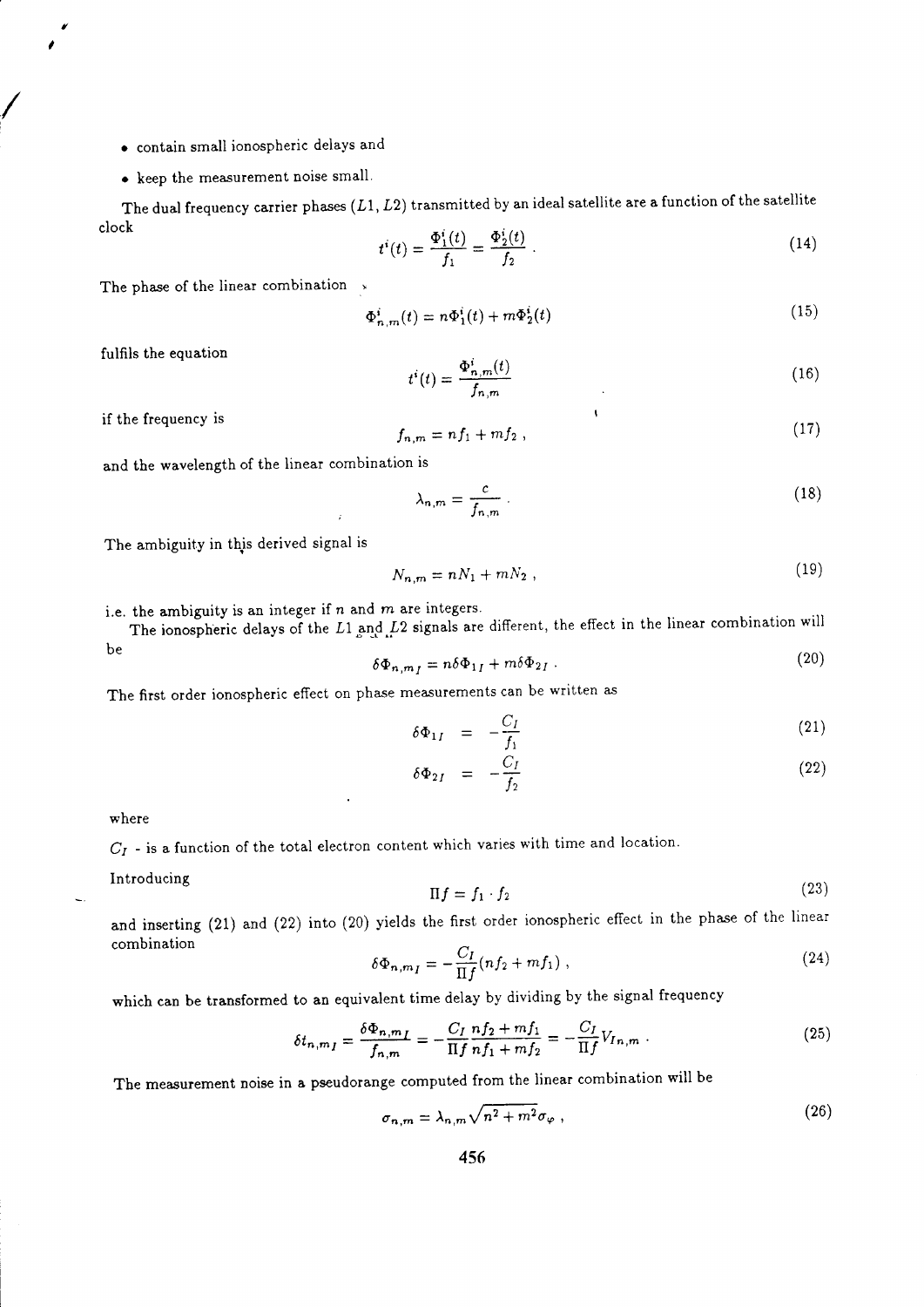- o contain small ionospheric delays and
- o keep the measurement noise small.

The dual frequency carrier phases  $(L1, L2)$  transmitted by an ideal satellite are a function of the satellite clock  $\mathbf{r}$ 

$$
t^{i}(t) = \frac{\Phi_{1}^{i}(t)}{f_{1}} = \frac{\Phi_{2}^{i}(t)}{f_{2}}.
$$
 (14)

The phase of the linear combination  $\rightarrow$ 

$$
\Phi_{n,m}^i(t) = n\Phi_1^i(t) + m\Phi_2^i(t)
$$
\n(15)

fulfils the equation

/

$$
t^{i}(t) = \frac{\Phi_{n,m}^{i}(t)}{f_{n,m}}
$$
\n(16)

if the frequency is

$$
f_{n,m} = nf_1 + mf_2 \,, \tag{17}
$$

 $\sqrt{2}$ 

and the wavelength of the linear combination is

$$
\lambda_{n,m} = \frac{c}{f_{n,m}} \tag{18}
$$

The ambiguity in thjs derived signal is

$$
N_{n,m} = nN_1 + mN_2 \,, \tag{19}
$$

i.e. the ambiguity is an integer if  $n$  and  $m$  are integers.

The ionospheric delays of the L1 and  $L2$  signals are different, the effect in the linear combination will be

$$
\delta\Phi_{n,m_I} = n\delta\Phi_{1I} + m\delta\Phi_{2I} \tag{20}
$$

The first order ionospheric effect on phase measurements can be written as

$$
\delta\Phi_{1I} = -\frac{C_I}{f_1} \tag{21}
$$

$$
\delta \Phi_{2I} = -\frac{C_I}{f_2} \tag{22}
$$

where

 $C_I$  - is a function of the total electron content which varies with time and location.

Introducing

$$
\Pi f = f_1 \cdot f_2 \tag{23}
$$

and inserting (21) and (22) into (20) yields the first order ionospheric effect in the phase of the linear combination

$$
\delta \Phi_{n,m_I} = -\frac{C_I}{\Pi f}(n f_2 + m f_1) \tag{24}
$$

which can be transformed to an equivalent time delay by dividing by the signal frequency

$$
\delta t_{n,m_I} = \frac{\delta \Phi_{n,m_I}}{f_{n,m}} = -\frac{C_I}{\Pi f} \frac{n f_2 + m f_1}{n f_1 + m f_2} = -\frac{C_I}{\Pi f} V_{I_{n,m}} \tag{25}
$$

The measurement noise in a pseudorange computed from the linear combination wili be

$$
\sigma_{n,m} = \lambda_{n,m} \sqrt{n^2 + m^2} \sigma_{\varphi} \,, \tag{26}
$$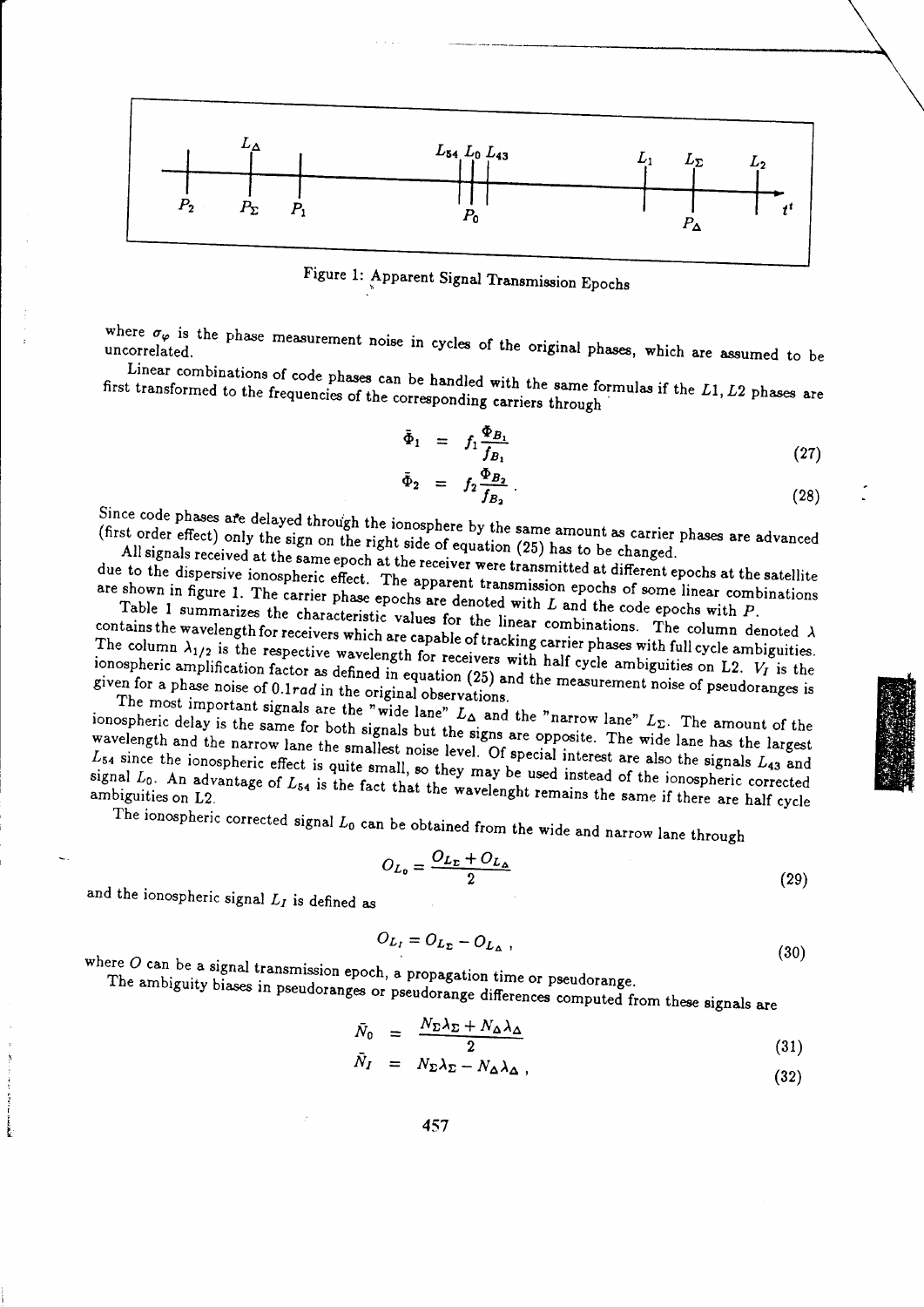

Figure 1: Apparent Signal Transmission Epochs

where  $\sigma_{\varphi}$  is the phase measurement noise in cycles of the original phases, which are assumed to be

Linear combinations of code phases can be handled with the same formulas if the  $L1, L2$  phases are first transformed to the frequencies of the corresponding carriers through

$$
\bar{\Phi}_1 = f_1 \frac{\Phi_{B_1}}{f_{B_1}} \tag{27}
$$

$$
\bar{\Phi}_2 = f_2 \frac{\Phi_{B_2}}{f_{B_2}} \tag{28}
$$

Since code phases are delayed through the ionosphere by the same amount as carrier phases are advanced (first order effect) only the sign on the right side of equation (25) has to be changed.

All signals received at the same epoch at the receiver were transmitted at different epochs at the satellite due to the dispersive ionospheric effect. The apparent transmission epochs of some linear combinations are shown in figure 1. The carrier phase epochs are denoted with  $L$  and the code epochs with  $P$ .

Table 1 summarizes the characteristic values for the linear combinations. The column denoted  $\lambda$ contains the wavelength for receivers which are capable of tracking carrier phases with full cycle ambiguities. The column  $\lambda_{1/2}$  is the respective wavelength for receivers with half cycle ambiguities on L2.  $V_I$  is the ionospheric amplification factor as defined in equation (25) and the measurement noise of pseudoranges is given for a phase noise of 0.1rad in the original observations.

The most important signals are the "wide lane"  $L_{\Delta}$  and the "narrow lane"  $L_{\Sigma}$ . The amount of the ionospheric delay is the same for both signals but the signs are opposite. The wide lane has the largest wavelength and the narrow lane the smallest noise level. Of special interest are also the signals  $L_{43}$  and  $L_{54}$  since the ionospheric effect is quite small, so they may be used instead of the ionospheric corrected signal  $L_0$ . An advantage of  $L_{54}$  is the fact that the wavelenght remains the same if there are half cycle

The ionospheric corrected signal  $L_0$  can be obtained from the wide and narrow lane through

$$
O_{L_0} = \frac{O_{L_\Sigma} + O_{L_\Delta}}{2} \tag{29}
$$

and the ionospheric signal  $L_I$  is defined as

İ.

$$
O_{L_l} = O_{L_{\Sigma}} - O_{L_{\Delta}} \tag{30}
$$

where  $O$  can be a signal transmission epoch, a propagation time or pseudorange.

The ambiguity biases in pseudoranges or pseudorange differences computed from these signals are

$$
\bar{N}_{\Sigma} = N_{\Sigma} \lambda_{\Sigma} + N_{\Delta} \lambda_{\Delta}
$$

$$
\bar{N} = \frac{2}{2} \tag{31}
$$

$$
N_I = N_{\Sigma} \lambda_{\Sigma} - N_{\Delta} \lambda_{\Delta} \,, \tag{32}
$$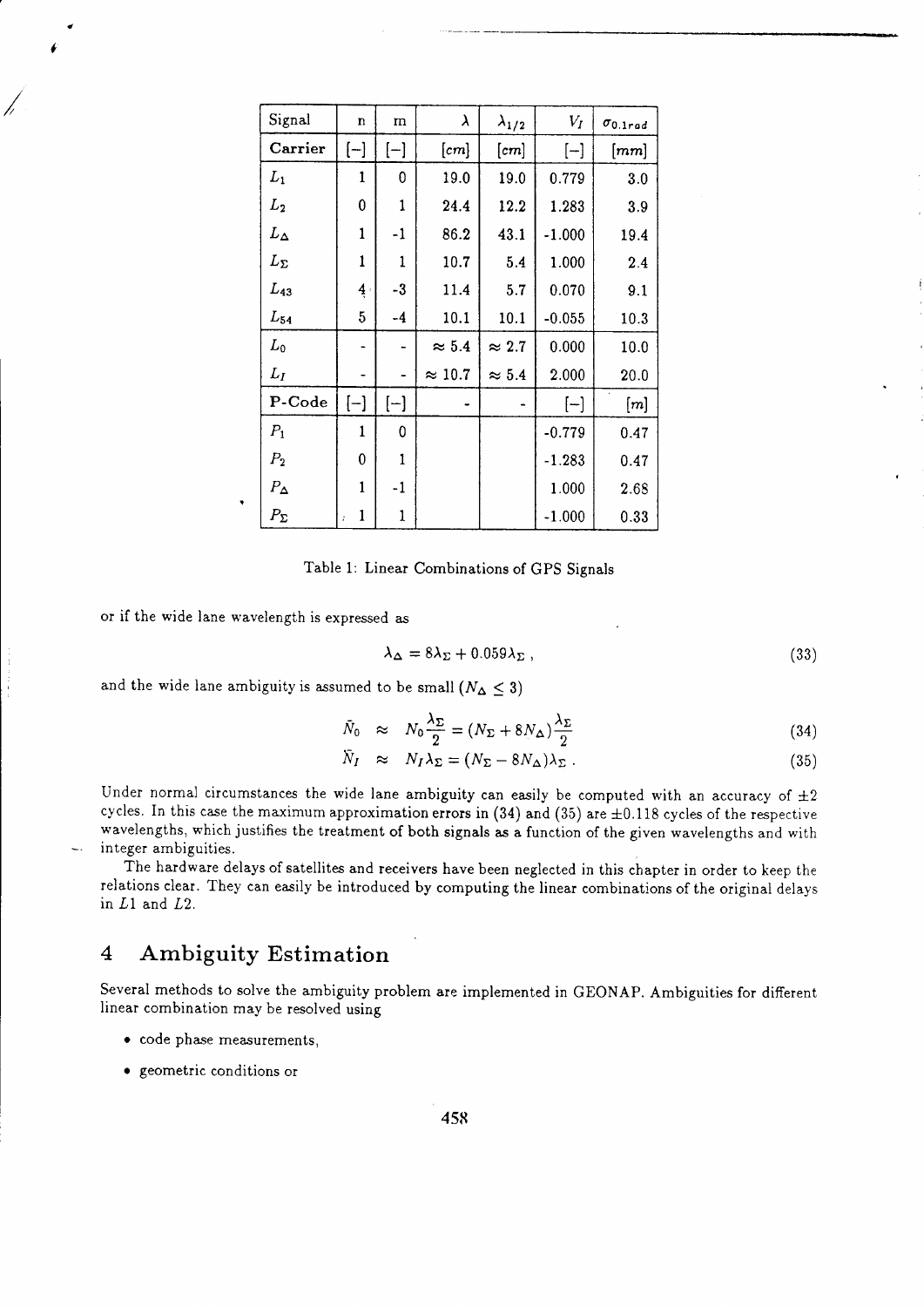| Signal                | n              | m           | $V_I$<br>λ<br>$\lambda_{1/2}$ |               | $\sigma_{0.1rad}$ |      |  |
|-----------------------|----------------|-------------|-------------------------------|---------------|-------------------|------|--|
| Carrier               | $[-]$          | $[-]$       | [cm]                          |               | $[-]$             | [mm] |  |
| $L_{1}$               | 1              | $\mathbf 0$ | 19.0<br>19.0<br>0.779         |               |                   | 3.0  |  |
| $L_{2}$               | 0              | 1           | 24.4                          | 12.2          | 1.283             | 3.9  |  |
| $L_{\Delta}$          | 1              | $-1$        | 86.2                          | 43.1          | $-1.000$          | 19.4 |  |
| $L_{\Sigma}$          | 1              | 1           | 10.7                          | 5.4           | 1.000             | 2.4  |  |
| $L_{43}$              | $\frac{4}{3}$  | $-3$        | 11.4                          | 5.7           | 0.070             | 9.1  |  |
| $L_{\bf 54}$          | $\overline{5}$ | $-4$        | 10.1                          | 10.1          | $-0.055$          | 10.3 |  |
| $L_0$                 |                |             | $\approx 5.4$                 | $\approx$ 2.7 | 0.000             | 10.0 |  |
| $L_I$                 |                |             | $\approx 10.7$                | $\approx 5.4$ | 2.000             | 20.0 |  |
| P-Code                | $[-]$          | $[-]$       |                               |               | $[-]$             | [m]  |  |
| $P_{1}$               | 1              | 0           |                               |               | $-0.779$          | 0.47 |  |
| $P_{2}$               | 0              | 1           |                               |               | $-1.283$          | 0.47 |  |
| $P_{\mathbf{\Delta}}$ | $\mathbf{1}$   | $-1$        |                               |               | 1.000             | 2.68 |  |
| $P_{\Sigma}$          | 1<br>ŧ         | 1           |                               |               | $-1.000$          | 0.33 |  |

Table 1: Linear Combinations of GPS Signals

or if the wide lane wavelength is expressed as

$$
\lambda_{\Delta} = 8\lambda_{\Sigma} + 0.059\lambda_{\Sigma} \,, \tag{33}
$$

and the wide lane ambiguity is assumed to be small ( $N_{\Delta} \leq 3$ )

$$
\bar{N}_0 \approx N_0 \frac{\lambda_{\Sigma}}{2} = (N_{\Sigma} + 8N_{\Delta}) \frac{\lambda_{\Sigma}}{2}
$$
\n(34)

$$
\overline{N}_I \approx N_I \lambda_\Sigma = (N_\Sigma - 8N_\Delta) \lambda_\Sigma \,. \tag{35}
$$

Under normal circumstances the wide lane ambiguity can easily be computed with an accuracy of  $\pm 2$ cycles. In this case the maximum approximation errors in (34) and (35) are  $\pm 0.118$  cycles of the respective wavelengths, which justifies the treatment of both signals as a function of the given wavelengths and with integer ambiguities.

The hardware delays of satellites and receivers have been neglected in this chapter in order to keep the relations clear. They can easily be introduced by computing the linear combinations of the original delays in  $L1$  and  $L2$ .

#### **Ambiguity Estimation**  $\overline{4}$

Several methods to solve the ambiguity problem are implemented in GEONAP. Ambiguities for different linear combination may be resolved using

- · code phase measurements,
- · geometric conditions or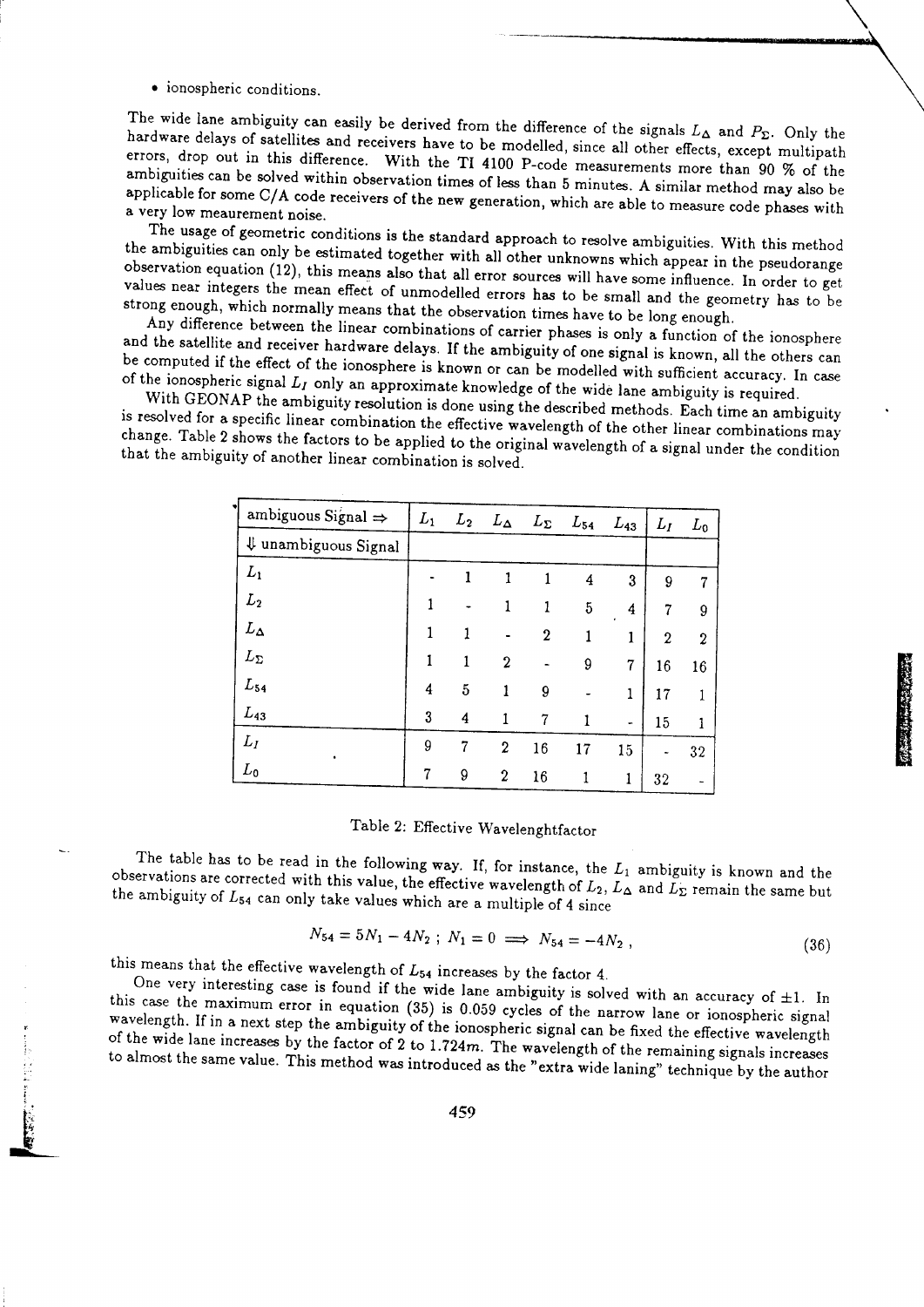· ionospheric conditions.

The wide lane ambiguity can easily be derived from the difference of the signals  $L_{\Delta}$  and  $P_{\Sigma}$ . Only the hardware delays of satellites and receivers have to be modelled, since all other effects, except multipath errors, drop out in this difference. With the TI 4100 P-code measurements more than 90 % of the ambiguities can be solved within observation times of less than 5 minutes. A similar method may also be applicable for some C/A code receivers of the new generation, which are able to measure code phases with a very low meaurement noise.

The usage of geometric conditions is the standard approach to resolve ambiguities. With this method the ambiguities can only be estimated together with all other unknowns which appear in the pseudorange observation equation (12), this means also that all error sources will have some influence. In order to get values near integers the mean effect of unmodelled errors has to be small and the geometry has to be strong enough, which normally means that the observation times have to be long enough.

Any difference between the linear combinations of carrier phases is only a function of the ionosphere and the satellite and receiver hardware delays. If the ambiguity of one signal is known, all the others can be computed if the effect of the ionosphere is known or can be modelled with sufficient accuracy. In case of the ionospheric signal  $L_I$  only an approximate knowledge of the wide lane ambiguity is required.

With GEONAP the ambiguity resolution is done using the described methods. Each time an ambiguity is resolved for a specific linear combination the effective wavelength of the other linear combinations may change. Table 2 shows the factors to be applied to the original wavelength of a signal under the condition that the ambiguity of another linear combination is solved.

| ᅨ<br>ambiguous Signal $\Rightarrow$ | $L_1$ |                | $L_2$ $L_\Delta$ |    | $L_{\Sigma}$ $L_{54}$ | $L_{43}$ | $L_I$          | $L_0$ |
|-------------------------------------|-------|----------------|------------------|----|-----------------------|----------|----------------|-------|
| U unambiguous Signal                |       |                |                  |    |                       |          |                |       |
| $L_1$                               |       | 1              | 1                | 1  | 4                     | 3        | 9              | 7     |
| L <sub>2</sub>                      |       |                |                  | 1  | 5                     | 4        | 7              | 9     |
| $L_{\mathbf{\Delta}}$               |       |                |                  | 2  | 1                     |          | $\overline{2}$ | 2     |
| $L_{\Sigma}$                        |       | 1              | $\boldsymbol{2}$ |    | 9                     | 7        | 16             | 16    |
| $L_{\bf 54}$                        | 4     | $\overline{5}$ | 1                | 9  |                       | 1        | 17             | 1     |
| $L_{43}$                            | 3     | 4              |                  | 7  |                       |          | 15             | 1     |
| $L_I$                               | 9     | 7              | $\boldsymbol{2}$ | 16 | 17                    | 15       |                | 32    |
| $L_0$                               | 7     | 9              | $\boldsymbol{2}$ | 16 |                       | 1        | 32             | ٠     |

## Table 2: Effective Wavelenghtfactor

The table has to be read in the following way. If, for instance, the  $L_1$  ambiguity is known and the observations are corrected with this value, the effective wavelength of  $L_2$ ,  $L_{\Delta}$  and  $L_{\Sigma}$  remain the same but the ambiguity of  $L_{54}$  can only take values which are a multiple of 4 since

$$
N_{54} = 5N_1 - 4N_2 \; ; \; N_1 = 0 \implies N_{54} = -4N_2 \; , \tag{36}
$$

this means that the effective wavelength of  $L_{54}$  increases by the factor 4.

One very interesting case is found if the wide lane ambiguity is solved with an accuracy of  $\pm 1$ . In this case the maximum error in equation (35) is 0.059 cycles of the narrow lane or ionospheric signal wavelength. If in a next step the ambiguity of the ionospheric signal can be fixed the effective wavelength of the wide lane increases by the factor of 2 to  $1.724m$ . The wavelength of the remaining signals increases to almost the same value. This method was introduced as the "extra wide laning" technique by the author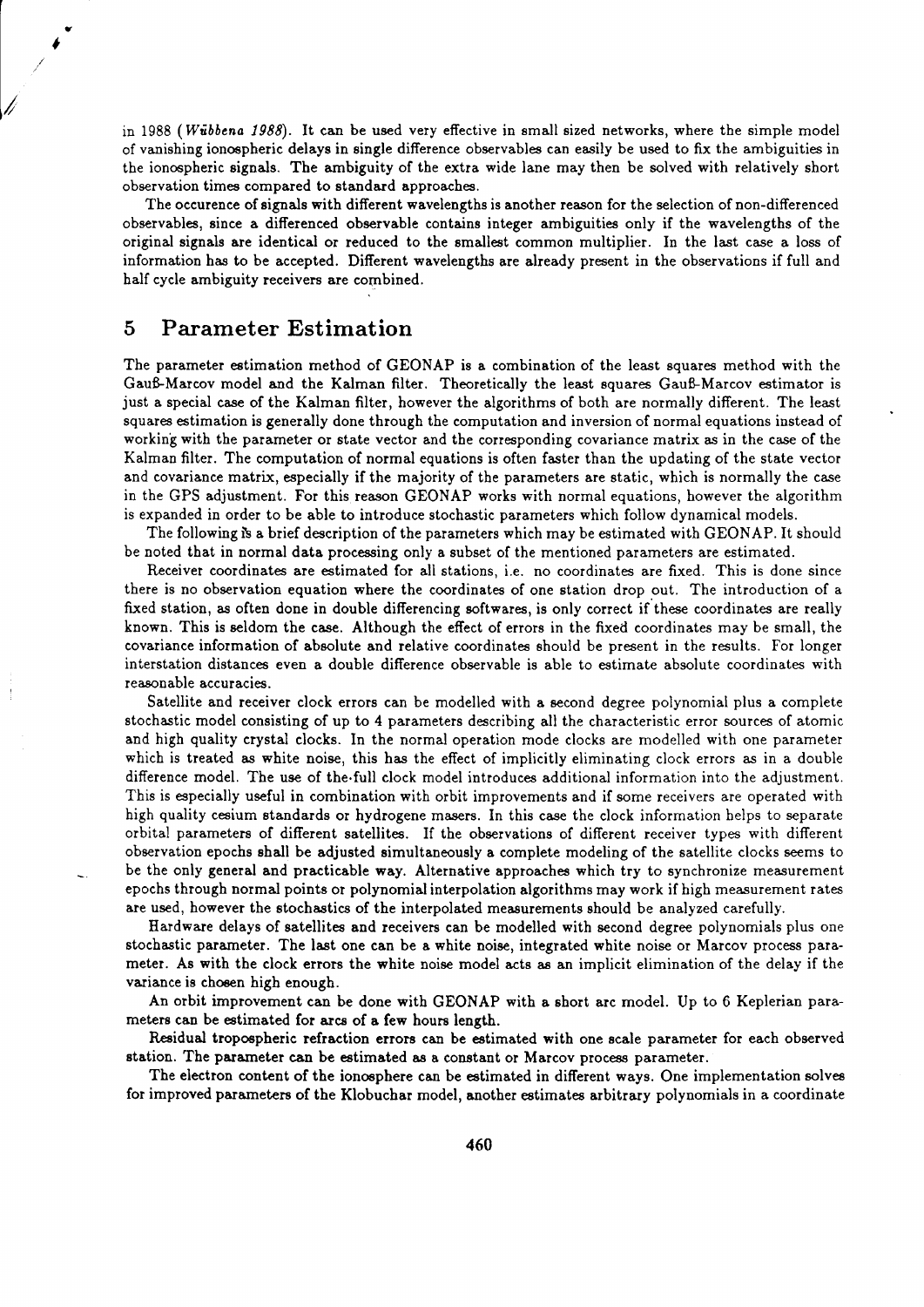l, in 1988 (Wübbena 1988). It can be used very effective in emall eized networks, where tbe simple model of vanishing ionospheric delays in eingle difterence observables can easily be used to fix the ambiguities in the ionospheric signals. The ambiguity of the extra wide lane may then be solved with relatively short obeervation timea compared to stand&rd approaches.

> The occurence of signals with different wavelengths is another reason for the selection of non-differenced observables, eince a differenced observable containg integer ambiguities only if the wavelengths of the original signals are identical or reduced to the smallest common multiplier. In the last case a loss of information has to be accepted. Different wavelengths are already present in the observations if full and half cycle ambiguity receivers are combined.

### 5 Parameter Estimation

The parameter estimation method of GEONAP ie a combination of the least squares method with the Gauß-Marcov model and the Kalman filter. Theoretically the least squares Gauß-Marcov estimator is just a special case of the Kalman filter, however the algorithms of both are normally different. The least squares estimation is generally done through the computation and inversion of normal equations instead of working with the parameter or state vector and the conesponding covariance matrix as in the case of the Kalman filter. The computation of normal equations is often faster than the updating of the state vector and covariance matrix, especially if the majority of the parameters are static, which is normally the case in the GPS adjustment. For this reason GEONAP works with normal equations, however the algorithm is expanded in order to be able to introduce stochastic parameters which follow dynamical models.

The following is a brief description of the parameters which may be estimated with GEONAP. It should be noted that in normal data processing only a subset of the mentioned parameters are estimated.

Receiver coordinates are estimated for all stations, i.e. no coordinates are fixed. This is done since there is no observation equation where the coordinates of one station drop out. The introduction of a fixed station, as often done in double differencing softwares, is only correct if these coordinates are really known. This is eeldom the case. Alühough the effect of errors in the fixed coordinates may be small, the covariance information of abeolute and relative coordinatea ehould be present in the results. For longer interstation distances even a double difference observable is able to estimate absolute coordinates with reason able accuracies.

Satellite and receiver clock errors can be modelled with a second degree polynomial plus a complete stochastic model consisting of up to 4 parameters describing all the characteristic error sources of atomic and high quality crystal clocks. In the normal operation mode clocks are modelled with one parameter which is treated as white noise, this has the effect of implicitly eliminating clock errors as in a double difference model. The use of the.full clock model introduces additional information into the adjustment. This is especially useful in combination with orbit improvements and if some receivers are operated with high quality cesium standards or hydrogene masers. In this case the clock information helps to separate orbital parameters of difrerent satellites. If the observaüions of different receiver types with different observation epochs shall be adjusted simultaneously a complete modeling of the satellite clocks seems to be the only general and practicable way. Alternative approaches which try to synchronize measurement epochs through normal points or polynomial interpolation algorithms may work if high measurement rates are used, however the stochastics of the interpolated measurements ehould be analyzed carefully.

Hardware delays of satellites and receivers can be modelled with second degree polynomials plus one stochastic parameter. The last one can be a white noise, integrated white noise or Marcov process parameter. As with the clock errors the white noise model acte as an implicit elimination of the delay if the variance ie chosen high enough.

An orbit improvement can be done with GEONAP with a short arc model. Up to 6 Keplerian parameters can be estimated for arcs of a few hours length.

Residual tropospheric refraction errors can be estimated with one scale parameter for each observed station. The parameter can be eatimated as a constant or Marcov process parameter.

The electron content of the ionosphere can be estimated in different ways. One implementation solves for improved parameters of the Klobuchar model, another eatimates arbitrary polynomials in a coordinate